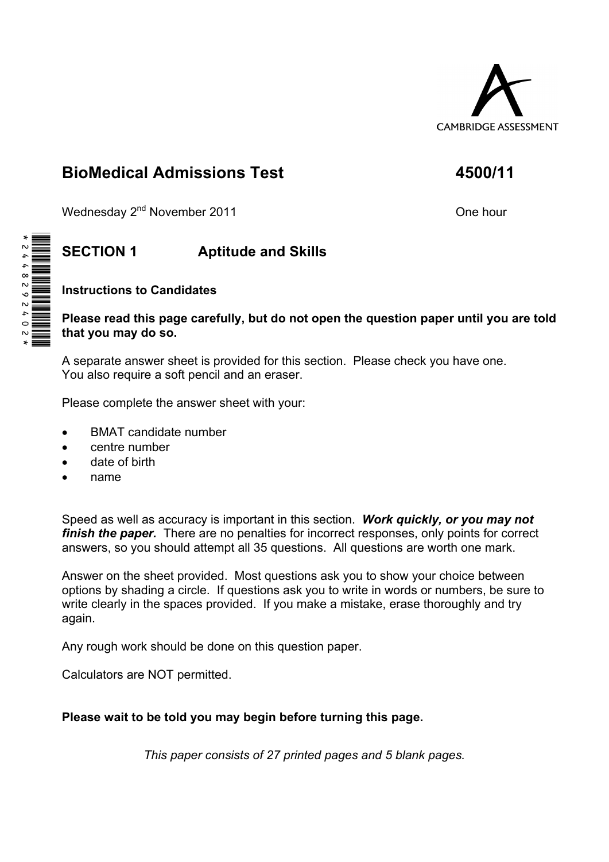

# **BioMedical Admissions Test 4500/11**

Wednesday 2<sup>nd</sup> November 2011 *One hour One hour* 

## **SECTION 1 Aptitude and Skills**

## **Instructions to Candidates**

### **Please read this page carefully, but do not open the question paper until you are told that you may do so.**

A separate answer sheet is provided for this section. Please check you have one. You also require a soft pencil and an eraser.

Please complete the answer sheet with your:

- BMAT candidate number
- centre number
- date of birth
- name

Speed as well as accuracy is important in this section. *Work quickly, or you may not finish the paper.* There are no penalties for incorrect responses, only points for correct answers, so you should attempt all 35 questions. All questions are worth one mark.

Answer on the sheet provided. Most questions ask you to show your choice between options by shading a circle. If questions ask you to write in words or numbers, be sure to write clearly in the spaces provided. If you make a mistake, erase thoroughly and try again.

Any rough work should be done on this question paper.

Calculators are NOT permitted.

## **Please wait to be told you may begin before turning this page.**

*This paper consists of 27 printed pages and 5 blank pages.* 

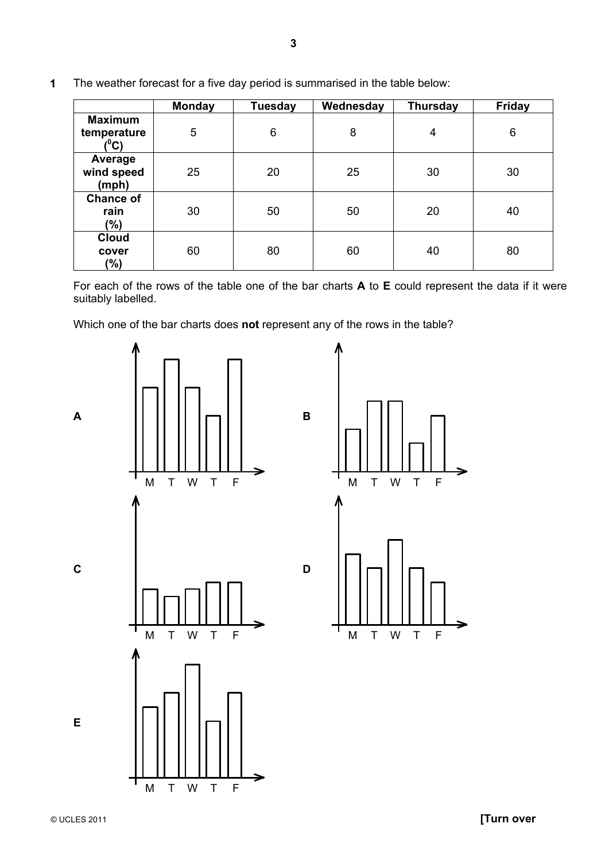|                                       | <b>Monday</b> | <b>Tuesday</b> | Wednesday | <b>Thursday</b> | <b>Friday</b> |
|---------------------------------------|---------------|----------------|-----------|-----------------|---------------|
| <b>Maximum</b><br>temperature<br>(°C) | 5             | 6              | 8         | $\overline{4}$  | 6             |
| Average<br>wind speed<br>(mph)        | 25            | 20             | 25        | 30              | 30            |
| <b>Chance of</b><br>rain<br>(%)       | 30            | 50             | 50        | 20              | 40            |
| <b>Cloud</b><br>cover<br>$(\%)$       | 60            | 80             | 60        | 40              | 80            |

**1** The weather forecast for a five day period is summarised in the table below:

 For each of the rows of the table one of the bar charts **A** to **E** could represent the data if it were suitably labelled.

Which one of the bar charts does **not** represent any of the rows in the table?

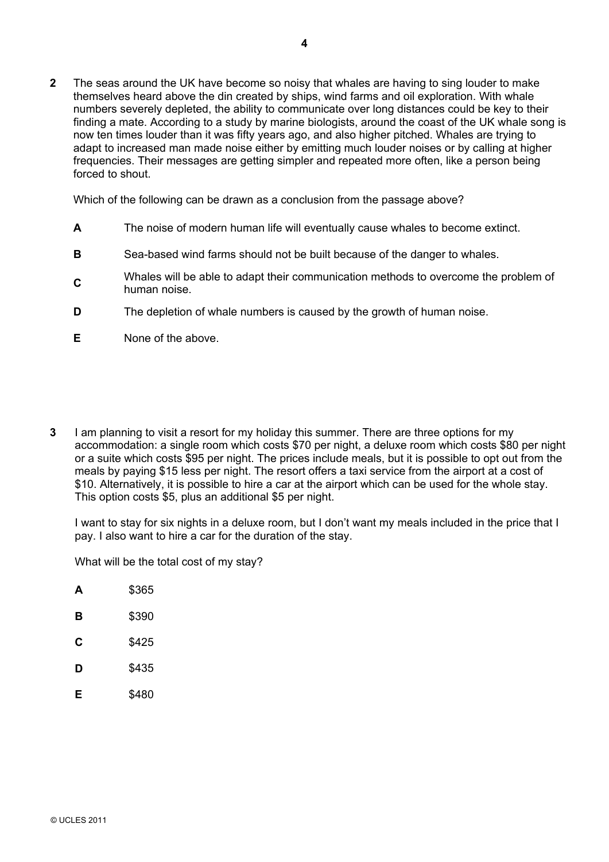**2** The seas around the UK have become so noisy that whales are having to sing louder to make themselves heard above the din created by ships, wind farms and oil exploration. With whale numbers severely depleted, the ability to communicate over long distances could be key to their finding a mate. According to a study by marine biologists, around the coast of the UK whale song is now ten times louder than it was fifty years ago, and also higher pitched. Whales are trying to adapt to increased man made noise either by emitting much louder noises or by calling at higher frequencies. Their messages are getting simpler and repeated more often, like a person being forced to shout.

Which of the following can be drawn as a conclusion from the passage above?

- **A** The noise of modern human life will eventually cause whales to become extinct.
- **B** Sea-based wind farms should not be built because of the danger to whales.
- **C**Whales will be able to adapt their communication methods to overcome the problem of human noise.
- **D** The depletion of whale numbers is caused by the growth of human noise.
- **E** None of the above.
- **3** I am planning to visit a resort for my holiday this summer. There are three options for my accommodation: a single room which costs \$70 per night, a deluxe room which costs \$80 per night or a suite which costs \$95 per night. The prices include meals, but it is possible to opt out from the meals by paying \$15 less per night. The resort offers a taxi service from the airport at a cost of \$10. Alternatively, it is possible to hire a car at the airport which can be used for the whole stay. This option costs \$5, plus an additional \$5 per night.

I want to stay for six nights in a deluxe room, but I don't want my meals included in the price that I pay. I also want to hire a car for the duration of the stay.

What will be the total cost of my stay?

| A | \$365 |
|---|-------|
| в | \$390 |
| C | \$425 |
| D | \$435 |
| Е | \$480 |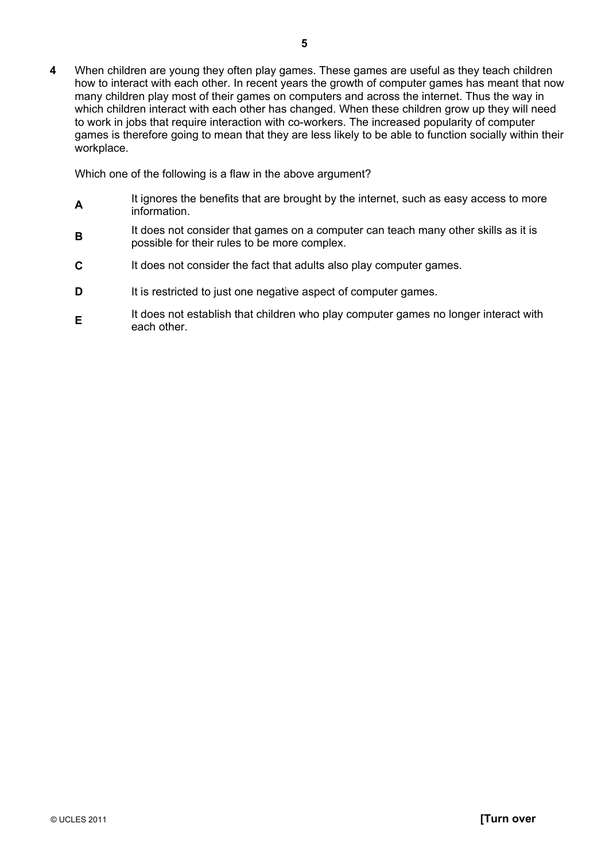**4** When children are young they often play games. These games are useful as they teach children how to interact with each other. In recent years the growth of computer games has meant that now many children play most of their games on computers and across the internet. Thus the way in which children interact with each other has changed. When these children grow up they will need to work in jobs that require interaction with co-workers. The increased popularity of computer games is therefore going to mean that they are less likely to be able to function socially within their workplace.

Which one of the following is a flaw in the above argument?

- **A**<br>It ignores the benefits that are brought by the internet, such as easy access to more information.
- **B**It does not consider that games on a computer can teach many other skills as it is possible for their rules to be more complex.
- **C** It does not consider the fact that adults also play computer games.
- **D** It is restricted to just one negative aspect of computer games.
- **E**<br>It does not establish that children who play computer games no longer interact with each other.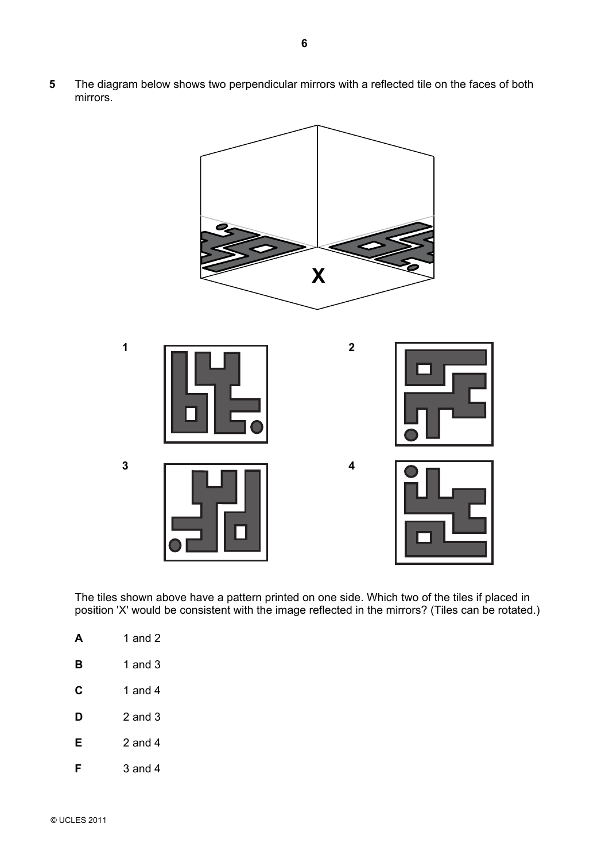**5** The diagram below shows two perpendicular mirrors with a reflected tile on the faces of both mirrors.



The tiles shown above have a pattern printed on one side. Which two of the tiles if placed in position 'X' would be consistent with the image reflected in the mirrors? (Tiles can be rotated.)

|   | 1 and 2   |
|---|-----------|
| в | 1 and 3   |
| C | 1 and 4   |
| D | 2 and $3$ |
| Е | 2 and 4   |
|   | 3 and 4   |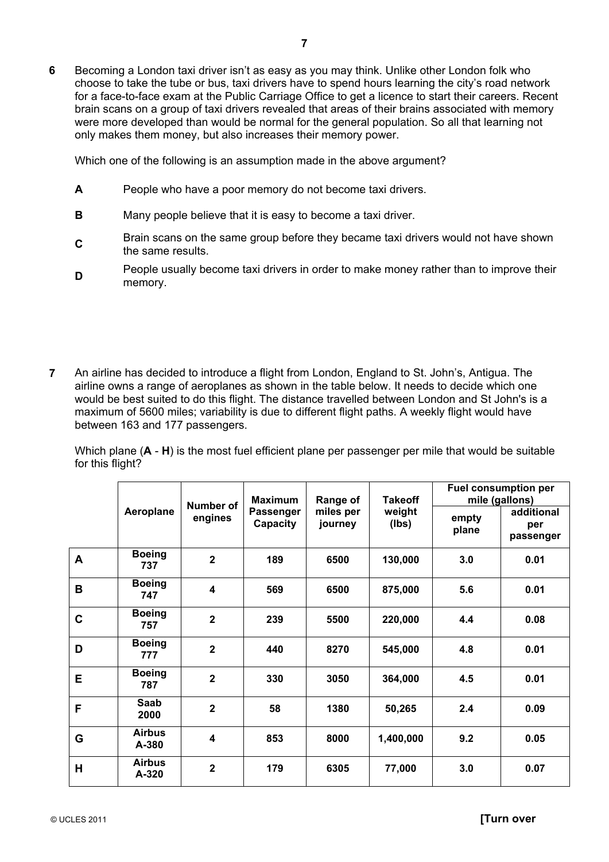Which one of the following is an assumption made in the above argument?

- **A** People who have a poor memory do not become taxi drivers.
- **B** Many people believe that it is easy to become a taxi driver.
- **C**Brain scans on the same group before they became taxi drivers would not have shown the same results.
- **D**People usually become taxi drivers in order to make money rather than to improve their memory.
- **7** An airline has decided to introduce a flight from London, England to St. John's, Antigua. The airline owns a range of aeroplanes as shown in the table below. It needs to decide which one would be best suited to do this flight. The distance travelled between London and St John's is a maximum of 5600 miles; variability is due to different flight paths. A weekly flight would have between 163 and 177 passengers.

Which plane (**A** - **H**) is the most fuel efficient plane per passenger per mile that would be suitable for this flight?

|             |                        | <b>Number of</b>        | <b>Maximum</b>        | Range of             | <b>Takeoff</b>  | <b>Fuel consumption per</b><br>mile (gallons) |                                |  |
|-------------|------------------------|-------------------------|-----------------------|----------------------|-----------------|-----------------------------------------------|--------------------------------|--|
|             | Aeroplane              | engines                 | Passenger<br>Capacity | miles per<br>journey | weight<br>(Ibs) | empty<br>plane                                | additional<br>per<br>passenger |  |
| A           | <b>Boeing</b><br>737   | $\mathbf{2}$            | 189                   | 6500                 | 130,000         | 3.0                                           | 0.01                           |  |
| B           | <b>Boeing</b><br>747   | $\overline{\mathbf{4}}$ | 569                   | 6500                 | 875,000         | 5.6                                           | 0.01                           |  |
| $\mathbf C$ | <b>Boeing</b><br>757   | $\overline{2}$          | 239                   | 5500                 | 220,000         | 4.4                                           | 0.08                           |  |
| D           | <b>Boeing</b><br>777   | $\overline{2}$          | 440                   | 8270                 | 545,000         | 4.8                                           | 0.01                           |  |
| E           | <b>Boeing</b><br>787   | $\overline{2}$          | 330                   | 3050                 | 364,000         | 4.5                                           | 0.01                           |  |
| F           | Saab<br>2000           | $\overline{2}$          | 58                    | 1380                 | 50,265          | 2.4                                           | 0.09                           |  |
| G           | <b>Airbus</b><br>A-380 | $\overline{\mathbf{4}}$ | 853                   | 8000                 | 1,400,000       | 9.2                                           | 0.05                           |  |
| H           | <b>Airbus</b><br>A-320 | $\overline{2}$          | 179                   | 6305                 | 77,000          | 3.0                                           | 0.07                           |  |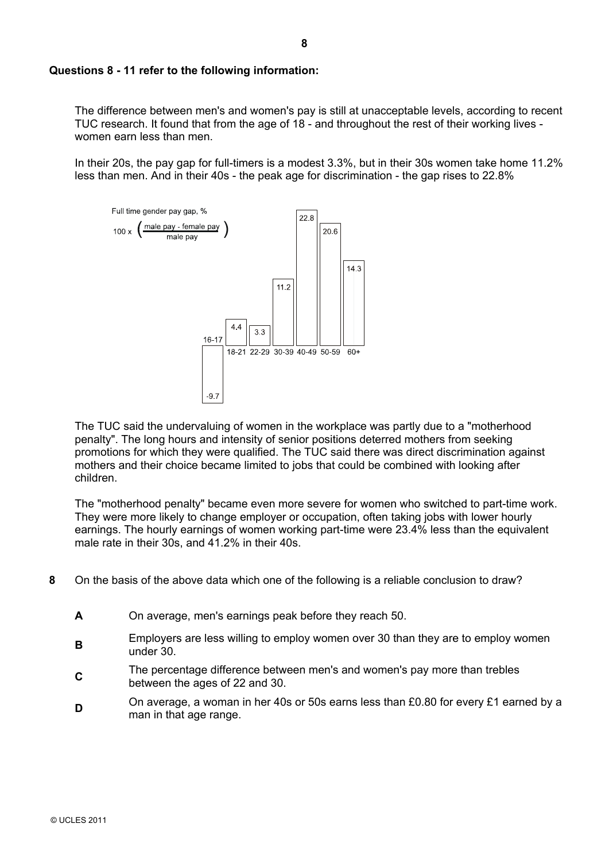#### **Questions 8 - 11 refer to the following information:**

The difference between men's and women's pay is still at unacceptable levels, according to recent TUC research. It found that from the age of 18 - and throughout the rest of their working lives women earn less than men.

In their 20s, the pay gap for full-timers is a modest 3.3%, but in their 30s women take home 11.2% less than men. And in their 40s - the peak age for discrimination - the gap rises to 22.8%



The TUC said the undervaluing of women in the workplace was partly due to a "motherhood penalty". The long hours and intensity of senior positions deterred mothers from seeking promotions for which they were qualified. The TUC said there was direct discrimination against mothers and their choice became limited to jobs that could be combined with looking after children.

The "motherhood penalty" became even more severe for women who switched to part-time work. They were more likely to change employer or occupation, often taking jobs with lower hourly earnings. The hourly earnings of women working part-time were 23.4% less than the equivalent male rate in their 30s, and 41.2% in their 40s.

- **8** On the basis of the above data which one of the following is a reliable conclusion to draw?
	- **A** On average, men's earnings peak before they reach 50.
	- **B**Employers are less willing to employ women over 30 than they are to employ women under 30.
	- **C**The percentage difference between men's and women's pay more than trebles between the ages of 22 and 30.
	- **D** On average, a woman in her 40s or 50s earns less than £0.80 for every £1 earned by a man in that age range.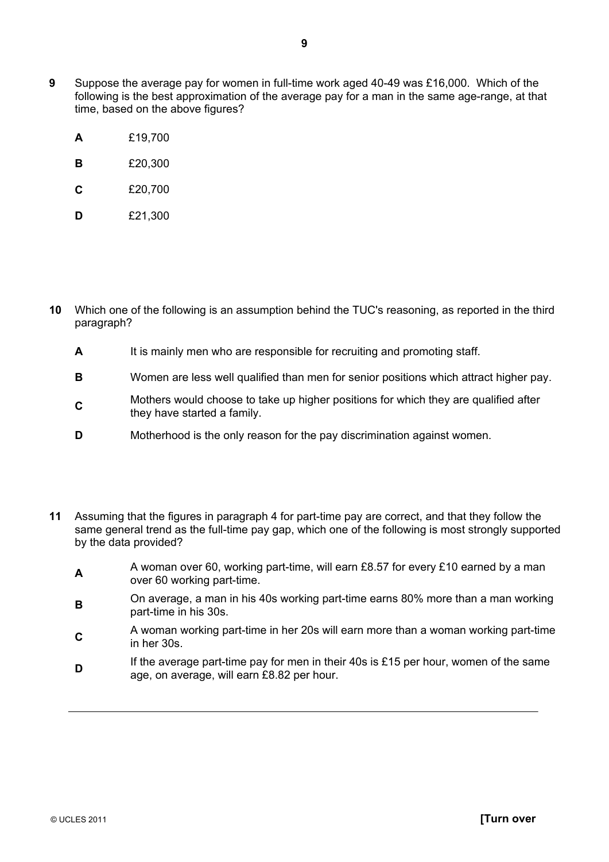- **9** Suppose the average pay for women in full-time work aged 40-49 was £16,000. Which of the following is the best approximation of the average pay for a man in the same age-range, at that time, based on the above figures?
	- **A** £19,700
	- **B** £20,300
	- **C** £20,700
	- **D** £21,300
- **10** Which one of the following is an assumption behind the TUC's reasoning, as reported in the third paragraph?
	- **A** It is mainly men who are responsible for recruiting and promoting staff.
	- **B** Women are less well qualified than men for senior positions which attract higher pay.
	- **C**Mothers would choose to take up higher positions for which they are qualified after they have started a family.
	- **D** Motherhood is the only reason for the pay discrimination against women.
- **11** Assuming that the figures in paragraph 4 for part-time pay are correct, and that they follow the same general trend as the full-time pay gap, which one of the following is most strongly supported by the data provided?
	- **A** A woman over 60, working part-time, will earn £8.57 for every £10 earned by a man over 60 working part-time.
	- **B**On average, a man in his 40s working part-time earns 80% more than a man working part-time in his 30s.
	- **<sup>C</sup>**A woman working part-time in her 20s will earn more than a woman working part-time in her 30s.
	- **D** If the average part-time pay for men in their 40s is £15 per hour, women of the same age, on average, will earn £8.82 per hour.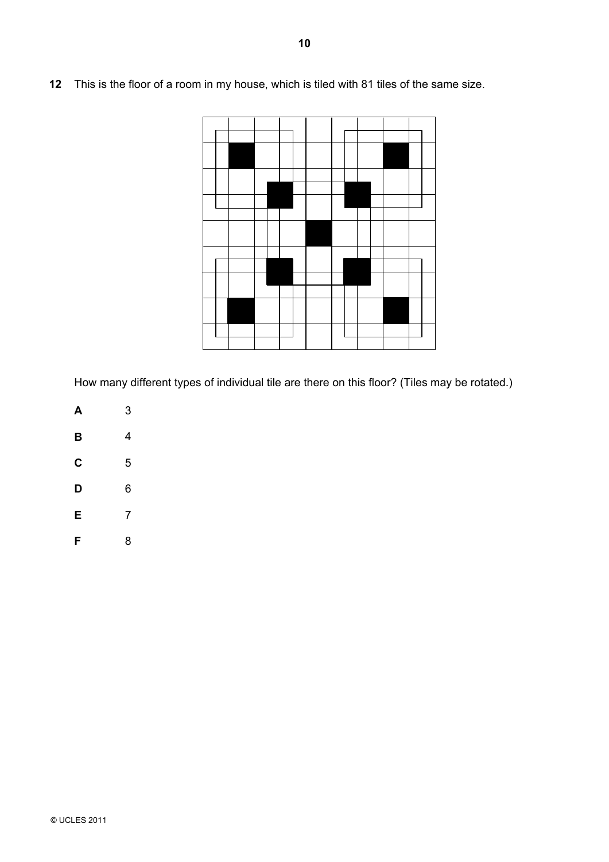- 
- **12** This is the floor of a room in my house, which is tiled with 81 tiles of the same size.

How many different types of individual tile are there on this floor? (Tiles may be rotated.)

- **A** 3
- **B** 4
- **C** 5
- **D** 6
- **E** 7
- **F** 8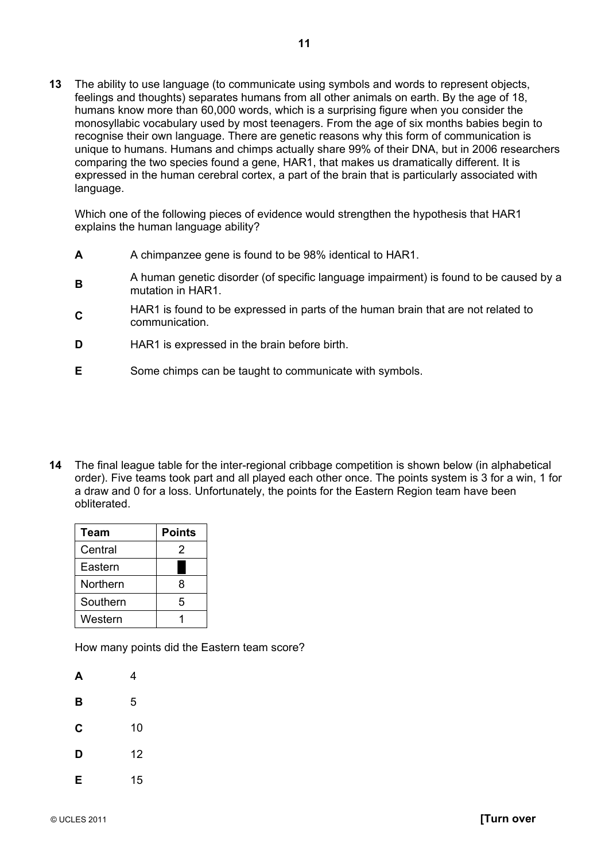**13** The ability to use language (to communicate using symbols and words to represent objects, feelings and thoughts) separates humans from all other animals on earth. By the age of 18, humans know more than 60,000 words, which is a surprising figure when you consider the monosyllabic vocabulary used by most teenagers. From the age of six months babies begin to recognise their own language. There are genetic reasons why this form of communication is unique to humans. Humans and chimps actually share 99% of their DNA, but in 2006 researchers comparing the two species found a gene, HAR1, that makes us dramatically different. It is expressed in the human cerebral cortex, a part of the brain that is particularly associated with language.

Which one of the following pieces of evidence would strengthen the hypothesis that HAR1 explains the human language ability?

- **A** A chimpanzee gene is found to be 98% identical to HAR1.
- **<sup>B</sup>**A human genetic disorder (of specific language impairment) is found to be caused by a mutation in HAR1.
- **C**HAR1 is found to be expressed in parts of the human brain that are not related to communication.
- **D** HAR1 is expressed in the brain before birth.
- **E** Some chimps can be taught to communicate with symbols.
- **14** The final league table for the inter-regional cribbage competition is shown below (in alphabetical order). Five teams took part and all played each other once. The points system is 3 for a win, 1 for a draw and 0 for a loss. Unfortunately, the points for the Eastern Region team have been obliterated.

| Team     | <b>Points</b> |
|----------|---------------|
| Central  | 2             |
| Eastern  |               |
| Northern | 8             |
| Southern | 5             |
| Western  |               |

How many points did the Eastern team score?

| А | 4  |
|---|----|
| B | 5  |
| C | 10 |
| D | 12 |
| E | 15 |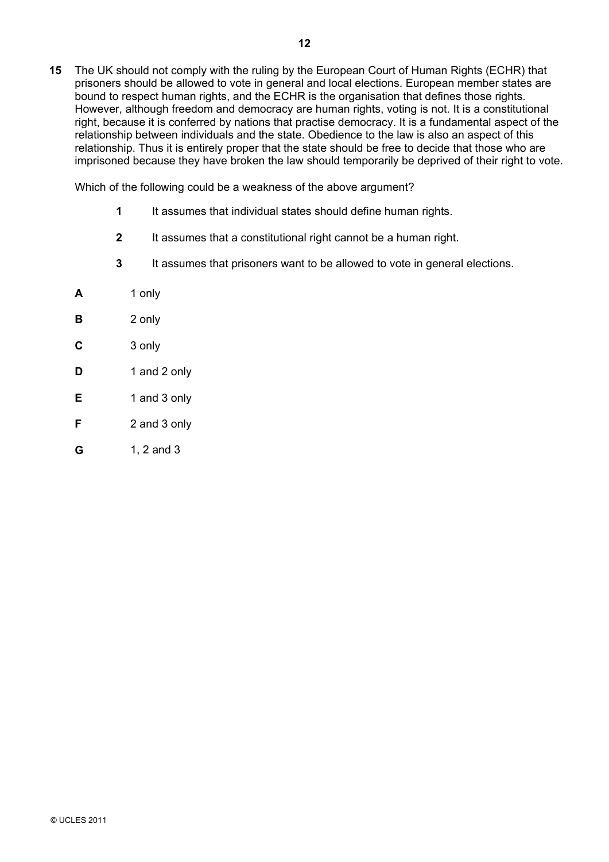**15** The UK should not comply with the ruling by the European Court of Human Rights (ECHR) that prisoners should be allowed to vote in general and local elections. European member states are bound to respect human rights, and the ECHR is the organisation that defines those rights. However, although freedom and democracy are human rights, voting is not. It is a constitutional right, because it is conferred by nations that practise democracy. It is a fundamental aspect of the relationship between individuals and the state. Obedience to the law is also an aspect of this relationship. Thus it is entirely proper that the state should be free to decide that those who are imprisoned because they have broken the law should temporarily be deprived of their right to vote.

Which of the following could be a weakness of the above argument?

- **1** It assumes that individual states should define human rights.
- **2** It assumes that a constitutional right cannot be a human right.
- **3** It assumes that prisoners want to be allowed to vote in general elections.
- **A** 1 only
- **B** 2 only
- **C** 3 only
- **D** 1 and 2 only
- **E** 1 and 3 only
- **F** 2 and 3 only
- **G** 1, 2 and 3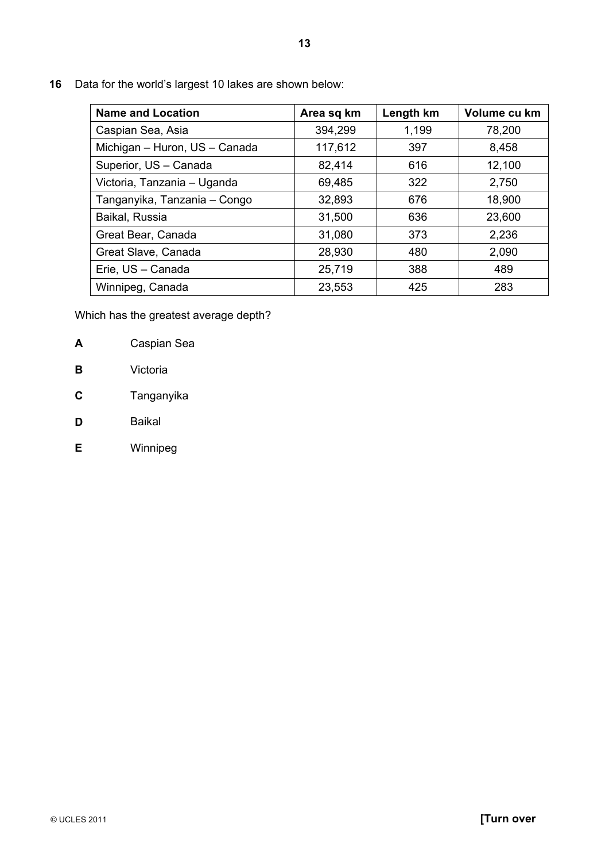**16** Data for the world's largest 10 lakes are shown below:

| <b>Name and Location</b>      | Area sq km | Length km | Volume cu km |
|-------------------------------|------------|-----------|--------------|
| Caspian Sea, Asia             | 394,299    | 1,199     | 78,200       |
| Michigan - Huron, US - Canada | 117,612    | 397       | 8,458        |
| Superior, US - Canada         | 82,414     | 616       | 12,100       |
| Victoria, Tanzania - Uganda   | 69,485     | 322       | 2,750        |
| Tanganyika, Tanzania - Congo  | 32,893     | 676       | 18,900       |
| Baikal, Russia                | 31,500     | 636       | 23,600       |
| Great Bear, Canada            | 31,080     | 373       | 2,236        |
| Great Slave, Canada           | 28,930     | 480       | 2,090        |
| Erie, US - Canada             | 25,719     | 388       | 489          |
| Winnipeg, Canada              | 23,553     | 425       | 283          |

Which has the greatest average depth?

- **A** Caspian Sea
- **B** Victoria
- **C** Tanganyika
- **D** Baikal
- **E** Winnipeg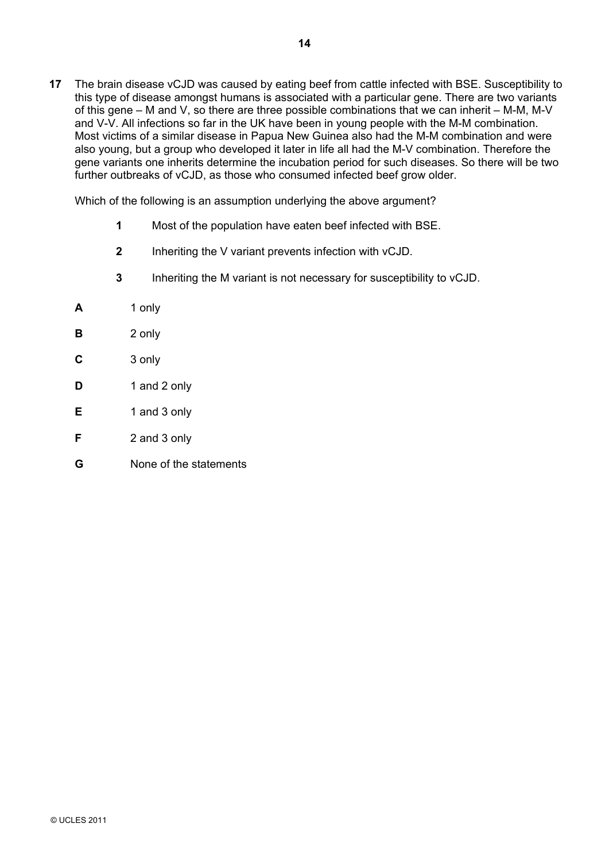**17** The brain disease vCJD was caused by eating beef from cattle infected with BSE. Susceptibility to this type of disease amongst humans is associated with a particular gene. There are two variants of this gene – M and V, so there are three possible combinations that we can inherit – M-M, M-V and V-V. All infections so far in the UK have been in young people with the M-M combination. Most victims of a similar disease in Papua New Guinea also had the M-M combination and were also young, but a group who developed it later in life all had the M-V combination. Therefore the gene variants one inherits determine the incubation period for such diseases. So there will be two further outbreaks of vCJD, as those who consumed infected beef grow older.

Which of the following is an assumption underlying the above argument?

- **1** Most of the population have eaten beef infected with BSE.
- **2** Inheriting the V variant prevents infection with vCJD.
- **3** Inheriting the M variant is not necessary for susceptibility to vCJD.
- **A** 1 only
- **B** 2 only
- **C** 3 only
- **D** 1 and 2 only
- **E** 1 and 3 only
- **F** 2 and 3 only
- **G** None of the statements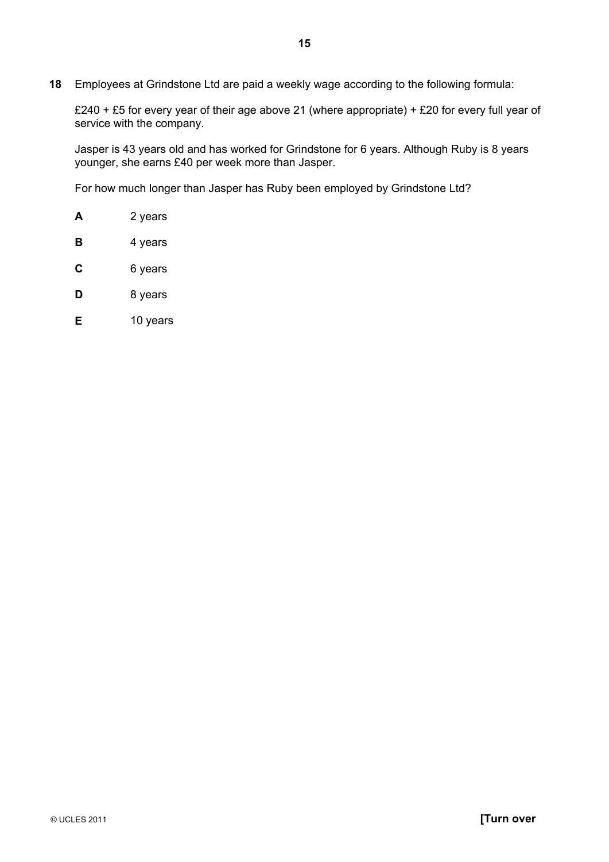**18** Employees at Grindstone Ltd are paid a weekly wage according to the following formula:

£240 + £5 for every year of their age above 21 (where appropriate) + £20 for every full year of service with the company.

Jasper is 43 years old and has worked for Grindstone for 6 years. Although Ruby is 8 years younger, she earns £40 per week more than Jasper.

For how much longer than Jasper has Ruby been employed by Grindstone Ltd?

- **A** 2 years
- **B** 4 years
- **C** 6 years
- **D** 8 years
- **E** 10 years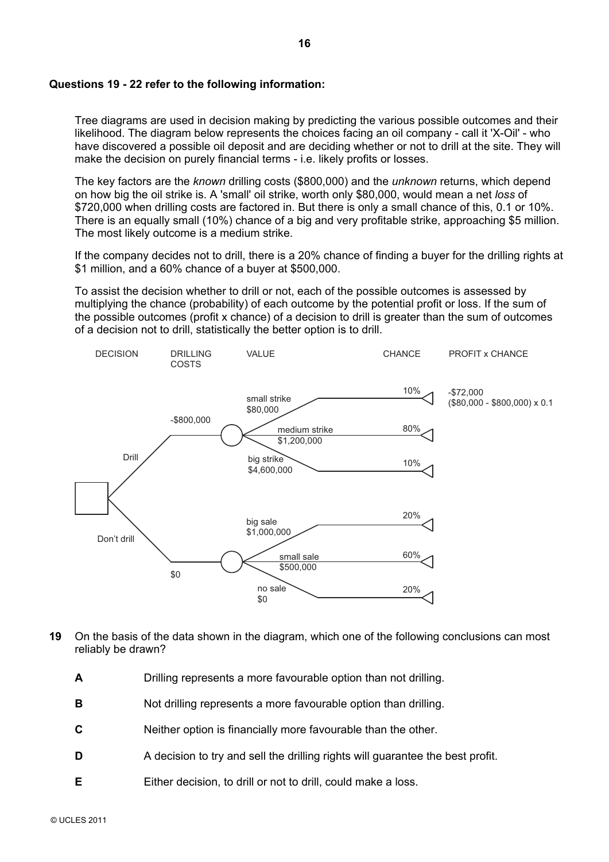#### **Questions 19 - 22 refer to the following information:**

Tree diagrams are used in decision making by predicting the various possible outcomes and their likelihood. The diagram below represents the choices facing an oil company - call it 'X-Oil' - who have discovered a possible oil deposit and are deciding whether or not to drill at the site. They will make the decision on purely financial terms - i.e. likely profits or losses.

The key factors are the *known* drilling costs (\$800,000) and the *unknown* returns, which depend on how big the oil strike is. A 'small' oil strike, worth only \$80,000, would mean a net *loss* of \$720,000 when drilling costs are factored in. But there is only a small chance of this, 0.1 or 10%. There is an equally small (10%) chance of a big and very profitable strike, approaching \$5 million. The most likely outcome is a medium strike.

If the company decides not to drill, there is a 20% chance of finding a buyer for the drilling rights at \$1 million, and a 60% chance of a buyer at \$500,000.

To assist the decision whether to drill or not, each of the possible outcomes is assessed by multiplying the chance (probability) of each outcome by the potential profit or loss. If the sum of the possible outcomes (profit x chance) of a decision to drill is greater than the sum of outcomes of a decision not to drill, statistically the better option is to drill.



- **19** On the basis of the data shown in the diagram, which one of the following conclusions can most reliably be drawn?
	- **A** Drilling represents a more favourable option than not drilling.
	- **B** Not drilling represents a more favourable option than drilling.
	- **C** Neither option is financially more favourable than the other.
	- **D** A decision to try and sell the drilling rights will guarantee the best profit.
	- **E** Either decision, to drill or not to drill, could make a loss.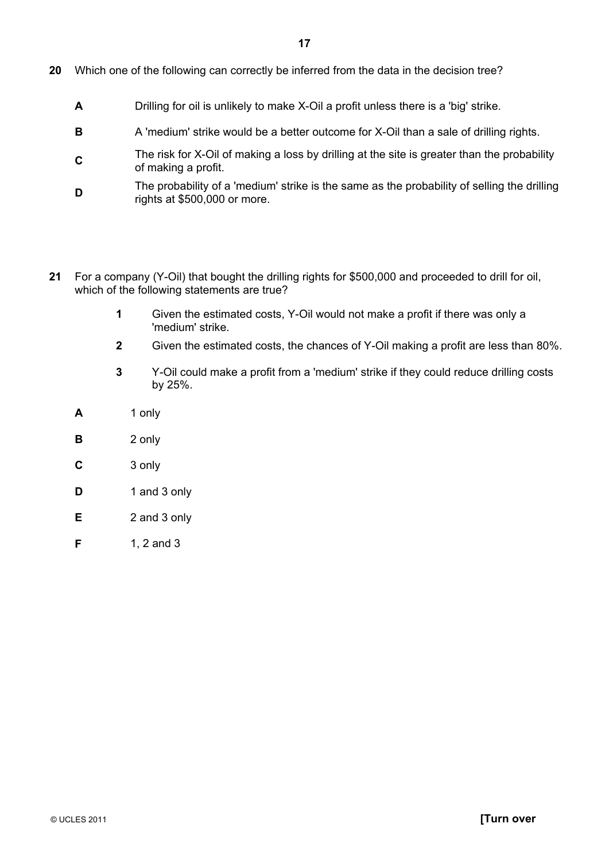- **20** Which one of the following can correctly be inferred from the data in the decision tree?
	- **A** Drilling for oil is unlikely to make X-Oil a profit unless there is a 'big' strike.
	- **B** A 'medium' strike would be a better outcome for X-Oil than a sale of drilling rights.
	- **C**The risk for X-Oil of making a loss by drilling at the site is greater than the probability of making a profit.
	- **D**<br>The probability of a 'medium' strike is the same as the probability of selling the drilling rights at \$500,000 or more.
- **21** For a company (Y-Oil) that bought the drilling rights for \$500,000 and proceeded to drill for oil, which of the following statements are true?
	- **1** Given the estimated costs, Y-Oil would not make a profit if there was only a 'medium' strike.
	- **2** Given the estimated costs, the chances of Y-Oil making a profit are less than 80%.
	- **3** Y-Oil could make a profit from a 'medium' strike if they could reduce drilling costs by 25%.
	- **A** 1 only
	- **B** 2 only
	- **C** 3 only
	- **D** 1 and 3 only
	- **E** 2 and 3 only
	- **F** 1, 2 and 3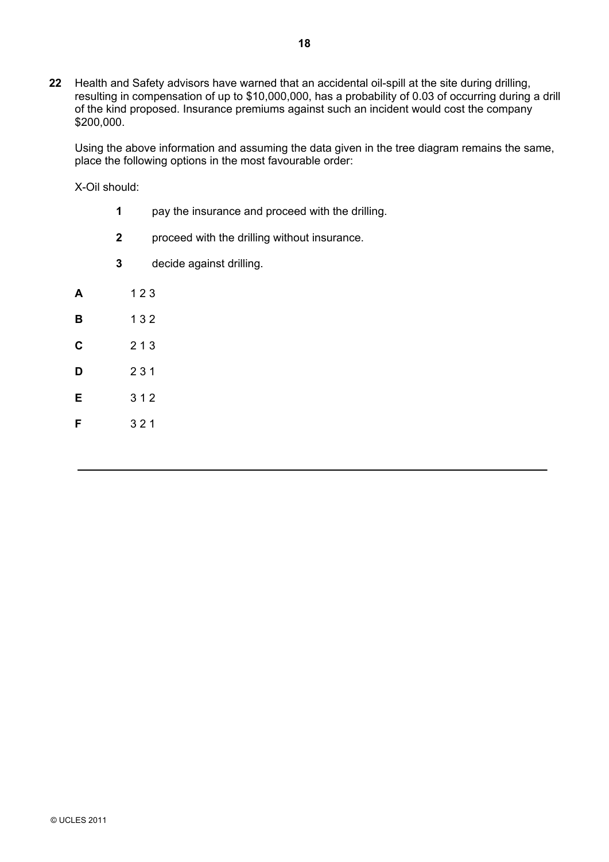**22** Health and Safety advisors have warned that an accidental oil-spill at the site during drilling, resulting in compensation of up to \$10,000,000, has a probability of 0.03 of occurring during a drill of the kind proposed. Insurance premiums against such an incident would cost the company \$200,000.

Using the above information and assuming the data given in the tree diagram remains the same, place the following options in the most favourable order:

X-Oil should:

- **1** pay the insurance and proceed with the drilling.
- **2** proceed with the drilling without insurance.
- **3** decide against drilling.

| A | 123 |
|---|-----|
| в | 132 |
| С | 213 |
| D | 231 |
| E | 312 |
| F | 321 |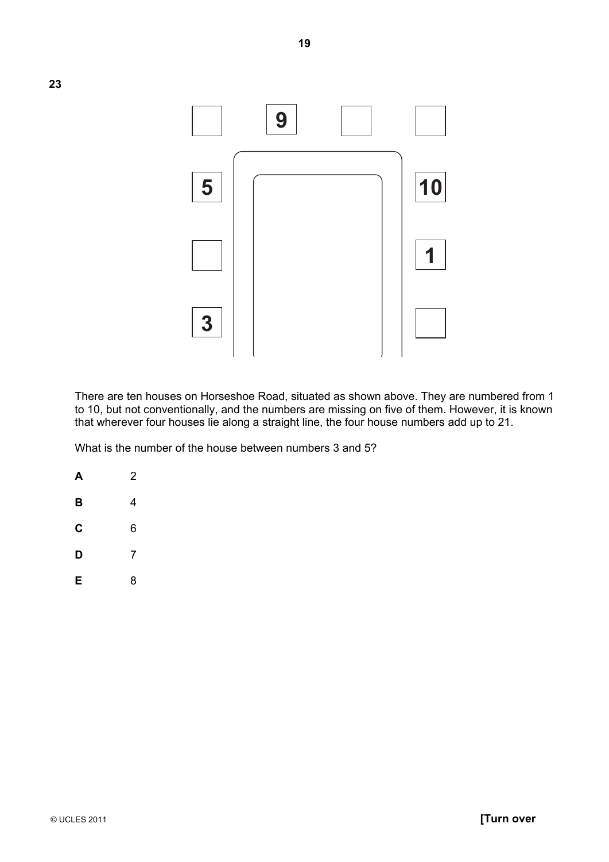

There are ten houses on Horseshoe Road, situated as shown above. They are numbered from 1 to 10, but not conventionally, and the numbers are missing on five of them. However, it is known that wherever four houses lie along a straight line, the four house numbers add up to 21.

What is the number of the house between numbers 3 and 5?

- **A** 2 **B** 4 **C** 6
- **D** 7
- **E** 8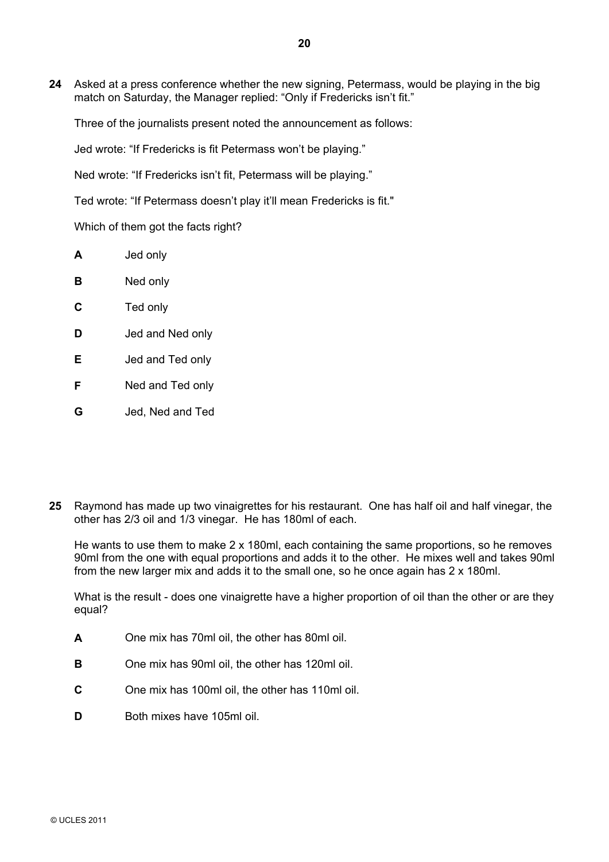**24** Asked at a press conference whether the new signing, Petermass, would be playing in the big match on Saturday, the Manager replied: "Only if Fredericks isn't fit."

Three of the journalists present noted the announcement as follows:

Jed wrote: "If Fredericks is fit Petermass won't be playing."

Ned wrote: "If Fredericks isn't fit, Petermass will be playing."

Ted wrote: "If Petermass doesn't play it'll mean Fredericks is fit."

Which of them got the facts right?

| А | Jed only |
|---|----------|
| в | Ned only |

- **C** Ted only
- **D** Jed and Ned only
- **E** Jed and Ted only
- **F** Ned and Ted only
- **G** Jed, Ned and Ted
- **25** Raymond has made up two vinaigrettes for his restaurant. One has half oil and half vinegar, the other has 2/3 oil and 1/3 vinegar. He has 180ml of each.

He wants to use them to make 2 x 180ml, each containing the same proportions, so he removes 90ml from the one with equal proportions and adds it to the other. He mixes well and takes 90ml from the new larger mix and adds it to the small one, so he once again has 2 x 180ml.

What is the result - does one vinaigrette have a higher proportion of oil than the other or are they equal?

- **A** One mix has 70ml oil, the other has 80ml oil.
- **B** One mix has 90ml oil, the other has 120ml oil.
- **C** One mix has 100ml oil, the other has 110ml oil.
- **D** Both mixes have 105ml oil.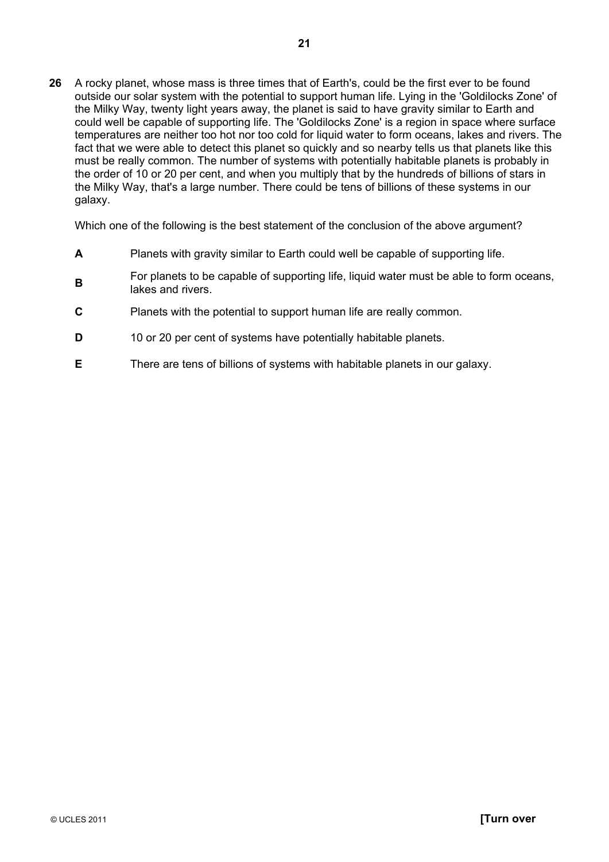**26** A rocky planet, whose mass is three times that of Earth's, could be the first ever to be found outside our solar system with the potential to support human life. Lying in the 'Goldilocks Zone' of the Milky Way, twenty light years away, the planet is said to have gravity similar to Earth and could well be capable of supporting life. The 'Goldilocks Zone' is a region in space where surface temperatures are neither too hot nor too cold for liquid water to form oceans, lakes and rivers. The fact that we were able to detect this planet so quickly and so nearby tells us that planets like this must be really common. The number of systems with potentially habitable planets is probably in the order of 10 or 20 per cent, and when you multiply that by the hundreds of billions of stars in the Milky Way, that's a large number. There could be tens of billions of these systems in our galaxy.

Which one of the following is the best statement of the conclusion of the above argument?

- **A** Planets with gravity similar to Earth could well be capable of supporting life.
- **B**For planets to be capable of supporting life, liquid water must be able to form oceans, lakes and rivers.
- **C** Planets with the potential to support human life are really common.
- **D** 10 or 20 per cent of systems have potentially habitable planets.
- **E** There are tens of billions of systems with habitable planets in our galaxy.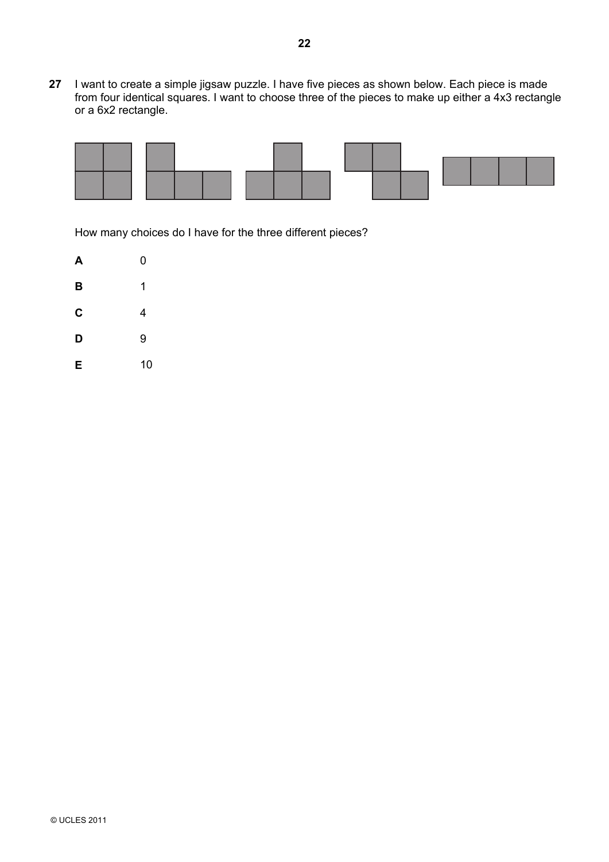**27** I want to create a simple jigsaw puzzle. I have five pieces as shown below. Each piece is made from four identical squares. I want to choose three of the pieces to make up either a 4x3 rectangle or a 6x2 rectangle.



How many choices do I have for the three different pieces?

| А | 0  |
|---|----|
| B | 1  |
| C | 4  |
| D | 9  |
| Ε | 10 |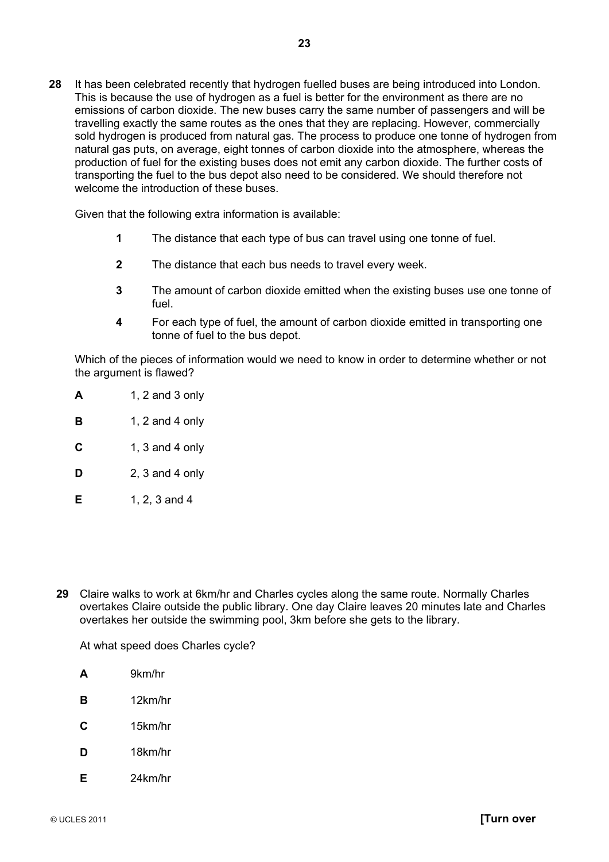**28** It has been celebrated recently that hydrogen fuelled buses are being introduced into London. This is because the use of hydrogen as a fuel is better for the environment as there are no emissions of carbon dioxide. The new buses carry the same number of passengers and will be travelling exactly the same routes as the ones that they are replacing. However, commercially sold hydrogen is produced from natural gas. The process to produce one tonne of hydrogen from natural gas puts, on average, eight tonnes of carbon dioxide into the atmosphere, whereas the production of fuel for the existing buses does not emit any carbon dioxide. The further costs of transporting the fuel to the bus depot also need to be considered. We should therefore not welcome the introduction of these buses.

Given that the following extra information is available:

- **1** The distance that each type of bus can travel using one tonne of fuel.
- **2** The distance that each bus needs to travel every week.
- **3** The amount of carbon dioxide emitted when the existing buses use one tonne of fuel.
- **4** For each type of fuel, the amount of carbon dioxide emitted in transporting one tonne of fuel to the bus depot.

 Which of the pieces of information would we need to know in order to determine whether or not the argument is flawed?

- **A** 1, 2 and 3 only
- **B** 1, 2 and 4 only
- **C** 1, 3 and 4 only
- **D** 2, 3 and 4 only
- **E** 1, 2, 3 and 4
- **29** Claire walks to work at 6km/hr and Charles cycles along the same route. Normally Charles overtakes Claire outside the public library. One day Claire leaves 20 minutes late and Charles overtakes her outside the swimming pool, 3km before she gets to the library.

At what speed does Charles cycle?

- **A** 9km/hr
- **B** 12km/hr
- **C** 15km/hr
- **D** 18km/hr
- **E** 24km/hr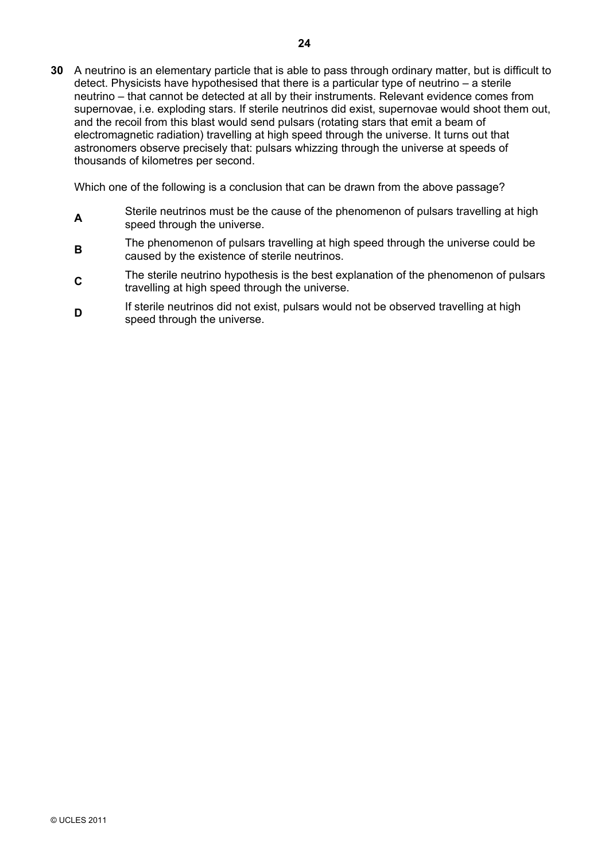**30** A neutrino is an elementary particle that is able to pass through ordinary matter, but is difficult to detect. Physicists have hypothesised that there is a particular type of neutrino – a sterile neutrino – that cannot be detected at all by their instruments. Relevant evidence comes from supernovae, i.e. exploding stars. If sterile neutrinos did exist, supernovae would shoot them out, and the recoil from this blast would send pulsars (rotating stars that emit a beam of electromagnetic radiation) travelling at high speed through the universe. It turns out that astronomers observe precisely that: pulsars whizzing through the universe at speeds of thousands of kilometres per second.

Which one of the following is a conclusion that can be drawn from the above passage?

- **A**Sterile neutrinos must be the cause of the phenomenon of pulsars travelling at high speed through the universe.
- **B**The phenomenon of pulsars travelling at high speed through the universe could be caused by the existence of sterile neutrinos.
- **C**<sub>The sterile neutrino hypothesis is the best explanation of the phenomenon of pulsars</sub> travelling at high speed through the universe.
- **DIf sterile neutrinos did not exist, pulsars would not be observed travelling at high** speed through the universe.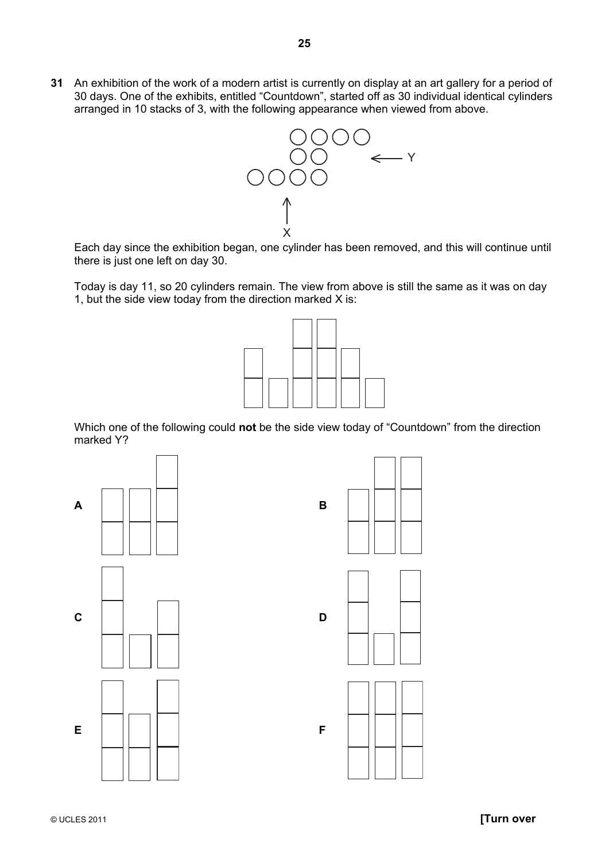**31** An exhibition of the work of a modern artist is currently on display at an art gallery for a period of 30 days. One of the exhibits, entitled "Countdown", started off as 30 individual identical cylinders arranged in 10 stacks of 3, with the following appearance when viewed from above.



Each day since the exhibition began, one cylinder has been removed, and this will continue until there is just one left on day 30.

Today is day 11, so 20 cylinders remain. The view from above is still the same as it was on day 1, but the side view today from the direction marked X is:



Which one of the following could **not** be the side view today of "Countdown" from the direction marked Y?







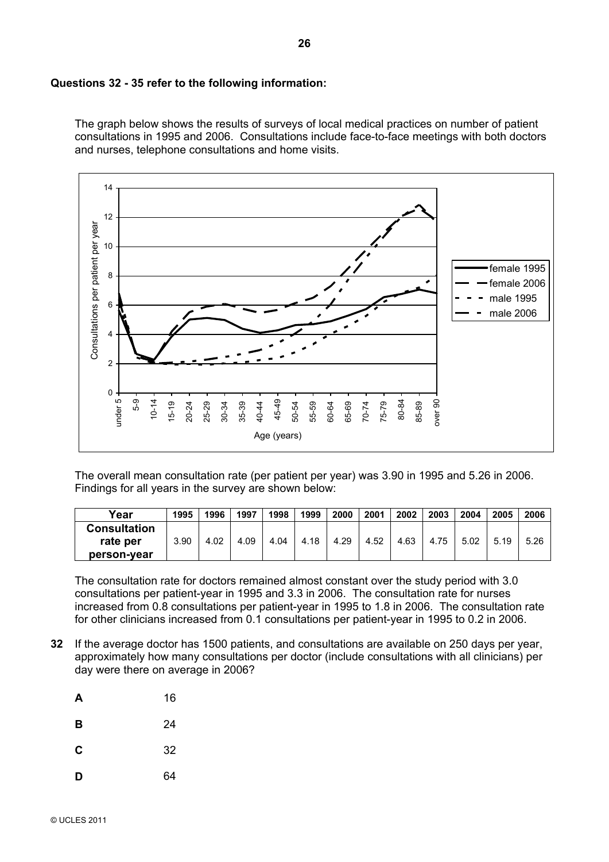#### **Questions 32 - 35 refer to the following information:**

The graph below shows the results of surveys of local medical practices on number of patient consultations in 1995 and 2006. Consultations include face-to-face meetings with both doctors and nurses, telephone consultations and home visits.



The overall mean consultation rate (per patient per year) was 3.90 in 1995 and 5.26 in 2006. Findings for all years in the survey are shown below:

| Year                | 1995 | 1996 | 1997 | 1998 | 1999 | 2000 | 2001 | 2002 | 2003 | 2004 | 2005 | 2006 |
|---------------------|------|------|------|------|------|------|------|------|------|------|------|------|
| <b>Consultation</b> |      |      |      |      |      |      |      |      |      |      |      |      |
| rate per            | 3.90 | 4.02 | 4.09 | 4.04 | 4.18 | 4.29 | 4.52 | 4.63 | 4.75 | 5.02 | 5.19 | 5.26 |
| person-vear         |      |      |      |      |      |      |      |      |      |      |      |      |

The consultation rate for doctors remained almost constant over the study period with 3.0 consultations per patient-year in 1995 and 3.3 in 2006. The consultation rate for nurses increased from 0.8 consultations per patient-year in 1995 to 1.8 in 2006. The consultation rate for other clinicians increased from 0.1 consultations per patient-year in 1995 to 0.2 in 2006.

**32** If the average doctor has 1500 patients, and consultations are available on 250 days per year, approximately how many consultations per doctor (include consultations with all clinicians) per day were there on average in 2006?

| A | 16 |
|---|----|
| B | 24 |
| C | 32 |
| D | 64 |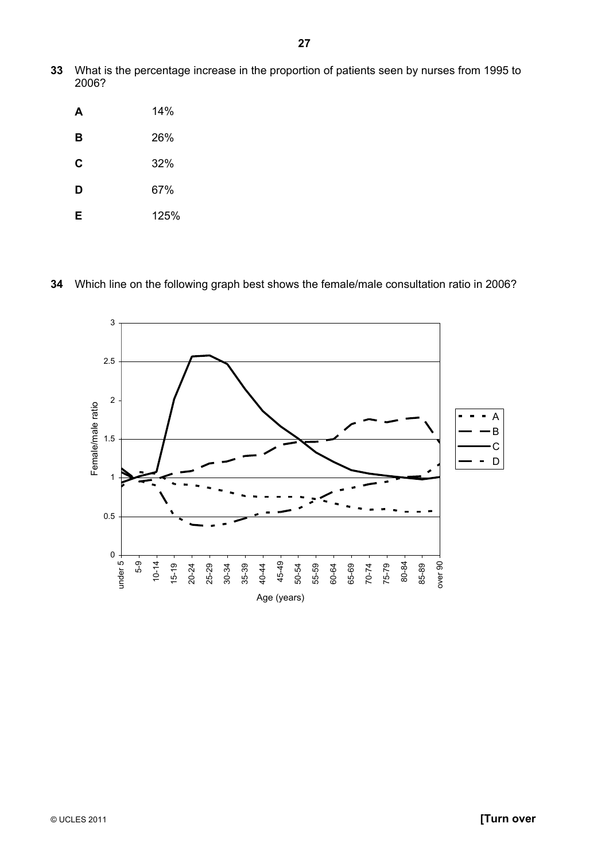**33** What is the percentage increase in the proportion of patients seen by nurses from 1995 to 2006?

| A | 14%  |
|---|------|
| в | 26%  |
| C | 32%  |
| D | 67%  |
| Е | 125% |

#### **34** Which line on the following graph best shows the female/male consultation ratio in 2006?

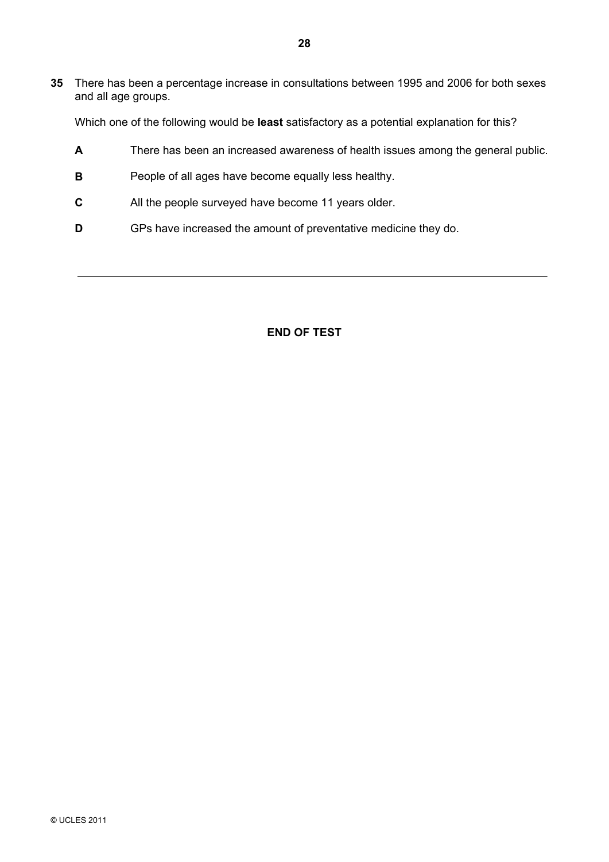**35** There has been a percentage increase in consultations between 1995 and 2006 for both sexes and all age groups.

Which one of the following would be **least** satisfactory as a potential explanation for this?

- **A** There has been an increased awareness of health issues among the general public.
- **B** People of all ages have become equally less healthy.
- **C** All the people surveyed have become 11 years older.
- **D** GPs have increased the amount of preventative medicine they do.

#### **END OF TEST**